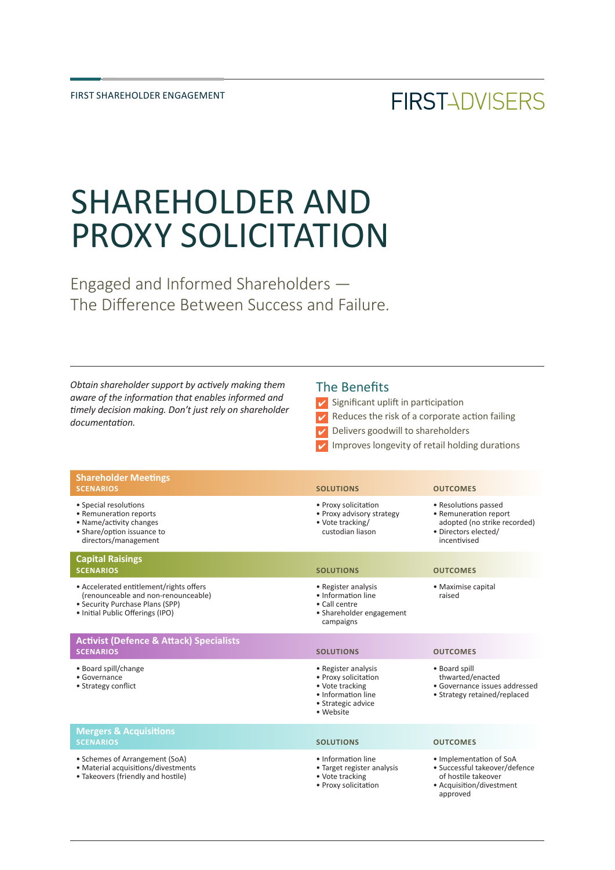## **FIRSTADVISERS**

# SHAREHOLDER AND PROXY SOLICITATION

Engaged and Informed Shareholders — The Difference Between Success and Failure.

*Obtain shareholder support by actively making them aware of the information that enables informed and timely decision making. Don't just rely on shareholder documentation.*

#### The Benefits

- $\triangleright$  Significant uplift in participation
- $V$  Reduces the risk of a corporate action failing
- Delivers goodwill to shareholders
- Improves longevity of retail holding durations

| <b>Shareholder Meetings</b><br><b>SCENARIOS</b>                                                                                                       | <b>SOLUTIONS</b>                                                                                                        | <b>OUTCOMES</b>                                                                                                         |
|-------------------------------------------------------------------------------------------------------------------------------------------------------|-------------------------------------------------------------------------------------------------------------------------|-------------------------------------------------------------------------------------------------------------------------|
| • Special resolutions<br>• Remuneration reports<br>• Name/activity changes<br>• Share/option issuance to<br>directors/management                      | • Proxy solicitation<br>• Proxy advisory strategy<br>• Vote tracking/<br>custodian liason                               | • Resolutions passed<br>• Remuneration report<br>adopted (no strike recorded)<br>· Directors elected/<br>incentivised   |
| <b>Capital Raisings</b><br><b>SCENARIOS</b>                                                                                                           | <b>SOLUTIONS</b>                                                                                                        | <b>OUTCOMES</b>                                                                                                         |
| • Accelerated entitlement/rights offers<br>(renounceable and non-renounceable)<br>• Security Purchase Plans (SPP)<br>• Initial Public Offerings (IPO) | • Register analysis<br>· Information line<br>• Call centre<br>• Shareholder engagement<br>campaigns                     | • Maximise capital<br>raised                                                                                            |
| <b>Activist (Defence &amp; Attack) Specialists</b><br><b>SCENARIOS</b>                                                                                | <b>SOLUTIONS</b>                                                                                                        | <b>OUTCOMES</b>                                                                                                         |
| • Board spill/change<br>• Governance<br>• Strategy conflict                                                                                           | • Register analysis<br>• Proxy solicitation<br>• Vote tracking<br>• Information line<br>• Strategic advice<br>· Website | • Board spill<br>thwarted/enacted<br>• Governance issues addressed<br>• Strategy retained/replaced                      |
| <b>Mergers &amp; Acquisitions</b><br><b>SCENARIOS</b>                                                                                                 | <b>SOLUTIONS</b>                                                                                                        | <b>OUTCOMES</b>                                                                                                         |
| • Schemes of Arrangement (SoA)<br>• Material acquisitions/divestments<br>• Takeovers (friendly and hostile)                                           | · Information line<br>• Target register analysis<br>• Vote tracking<br>• Proxy solicitation                             | • Implementation of SoA<br>· Successful takeover/defence<br>of hostile takeover<br>• Acquisition/divestment<br>approved |